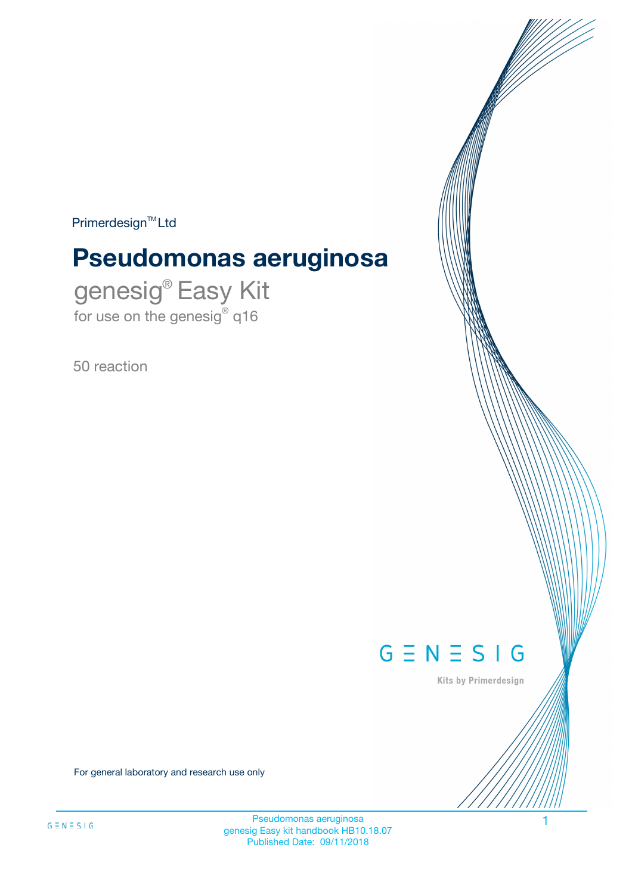$Primerdesign^{\text{TM}}Ltd$ 

# **Pseudomonas aeruginosa**

genesig® Easy Kit for use on the genesig® q16

50 reaction



Kits by Primerdesign

For general laboratory and research use only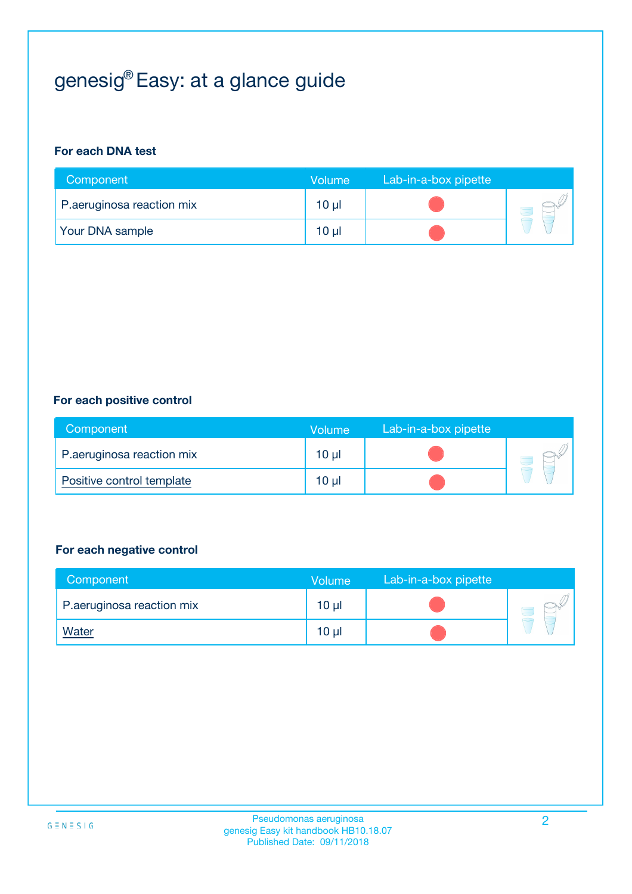# genesig® Easy: at a glance guide

#### **For each DNA test**

| Component                 | <b>Volume</b>   | Lab-in-a-box pipette |  |
|---------------------------|-----------------|----------------------|--|
| P.aeruginosa reaction mix | $10 \mu$        |                      |  |
| <b>Your DNA sample</b>    | 10 <sub>µ</sub> |                      |  |

#### **For each positive control**

| Component                 | Volume   | Lab-in-a-box pipette |  |
|---------------------------|----------|----------------------|--|
| P.aeruginosa reaction mix | 10 µl    |                      |  |
| Positive control template | $10 \mu$ |                      |  |

#### **For each negative control**

| Component                 | Volume          | Lab-in-a-box pipette |  |
|---------------------------|-----------------|----------------------|--|
| P.aeruginosa reaction mix | 10 <sub>µ</sub> |                      |  |
| <u>Water</u>              | 10 <sub>µ</sub> |                      |  |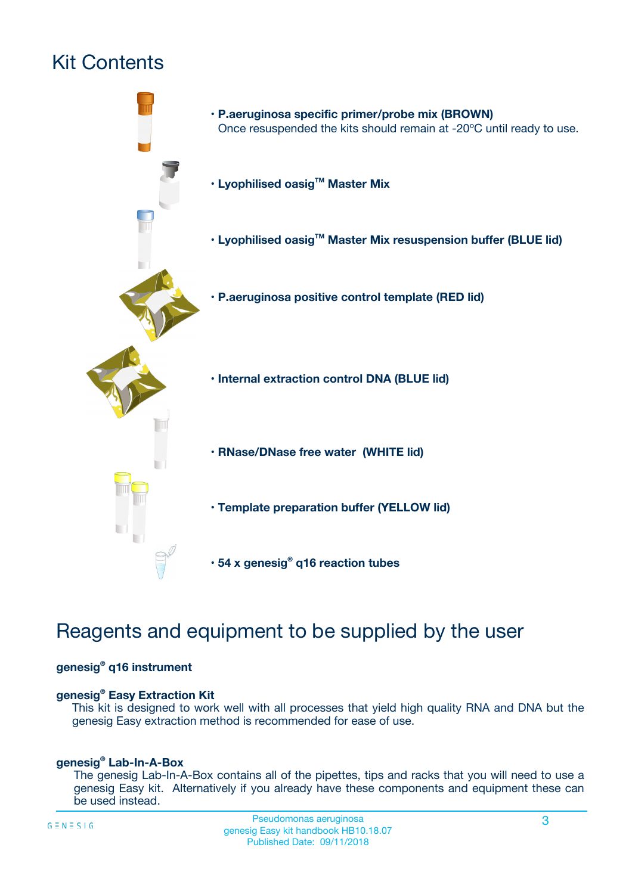# Kit Contents



## Reagents and equipment to be supplied by the user

#### **genesig® q16 instrument**

#### **genesig® Easy Extraction Kit**

This kit is designed to work well with all processes that yield high quality RNA and DNA but the genesig Easy extraction method is recommended for ease of use.

#### **genesig® Lab-In-A-Box**

The genesig Lab-In-A-Box contains all of the pipettes, tips and racks that you will need to use a genesig Easy kit. Alternatively if you already have these components and equipment these can be used instead.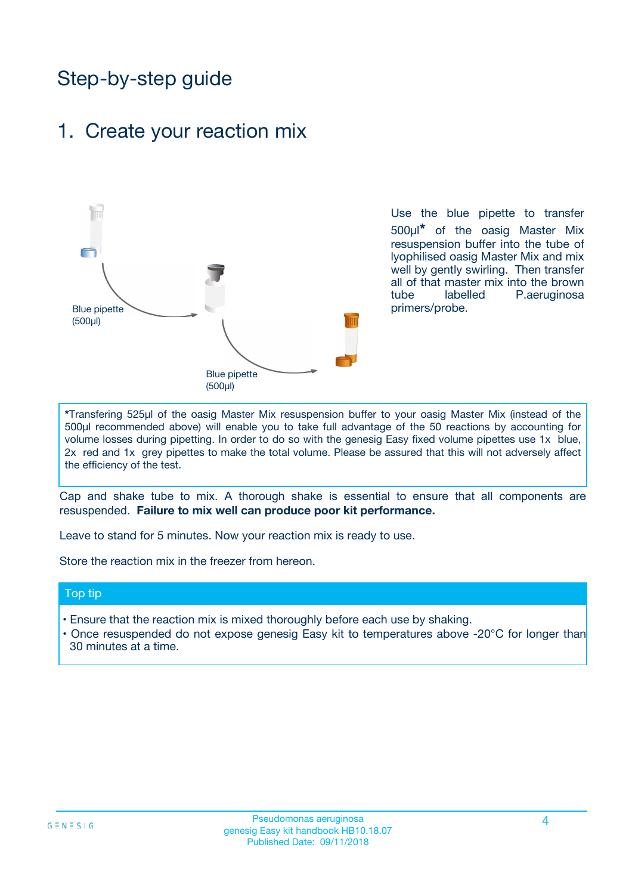## Step-by-step guide

### 1. Create your reaction mix



Use the blue pipette to transfer 500µl**\*** of the oasig Master Mix resuspension buffer into the tube of lyophilised oasig Master Mix and mix well by gently swirling. Then transfer all of that master mix into the brown tube labelled P.aeruginosa primers/probe.

**\***Transfering 525µl of the oasig Master Mix resuspension buffer to your oasig Master Mix (instead of the 500µl recommended above) will enable you to take full advantage of the 50 reactions by accounting for volume losses during pipetting. In order to do so with the genesig Easy fixed volume pipettes use 1x blue, 2x red and 1x grey pipettes to make the total volume. Please be assured that this will not adversely affect the efficiency of the test.

Cap and shake tube to mix. A thorough shake is essential to ensure that all components are resuspended. **Failure to mix well can produce poor kit performance.**

Leave to stand for 5 minutes. Now your reaction mix is ready to use.

Store the reaction mix in the freezer from hereon.

#### Top tip

- Ensure that the reaction mix is mixed thoroughly before each use by shaking.
- **•** Once resuspended do not expose genesig Easy kit to temperatures above -20°C for longer than 30 minutes at a time.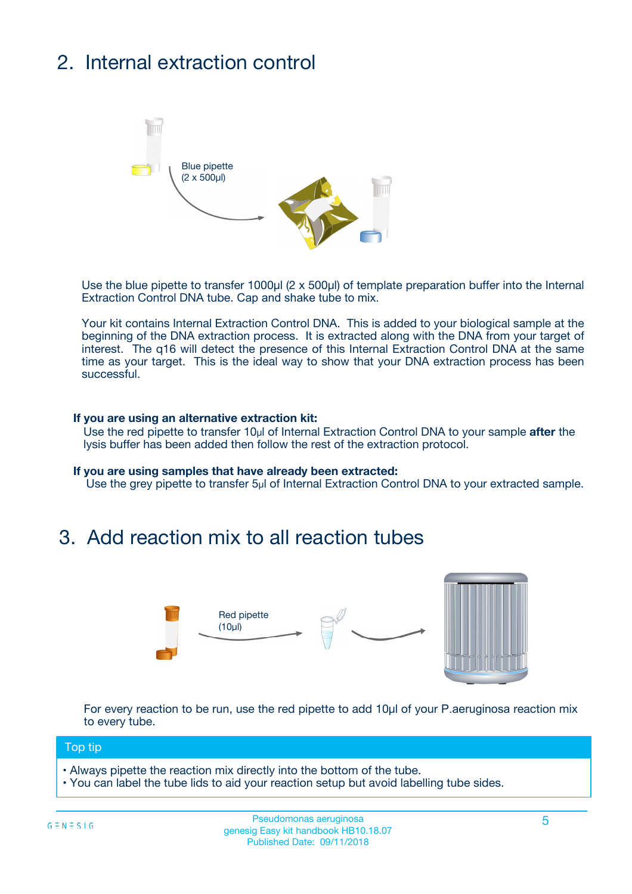# 2. Internal extraction control



Use the blue pipette to transfer 1000µl (2 x 500µl) of template preparation buffer into the Internal Extraction Control DNA tube. Cap and shake tube to mix.

Your kit contains Internal Extraction Control DNA. This is added to your biological sample at the beginning of the DNA extraction process. It is extracted along with the DNA from your target of interest. The q16 will detect the presence of this Internal Extraction Control DNA at the same time as your target. This is the ideal way to show that your DNA extraction process has been successful.

#### **If you are using an alternative extraction kit:**

Use the red pipette to transfer 10µl of Internal Extraction Control DNA to your sample **after** the lysis buffer has been added then follow the rest of the extraction protocol.

#### **If you are using samples that have already been extracted:**

Use the grey pipette to transfer 5µl of Internal Extraction Control DNA to your extracted sample.

### 3. Add reaction mix to all reaction tubes



For every reaction to be run, use the red pipette to add 10µl of your P.aeruginosa reaction mix to every tube.

#### Top tip

- Always pipette the reaction mix directly into the bottom of the tube.
- You can label the tube lids to aid your reaction setup but avoid labelling tube sides.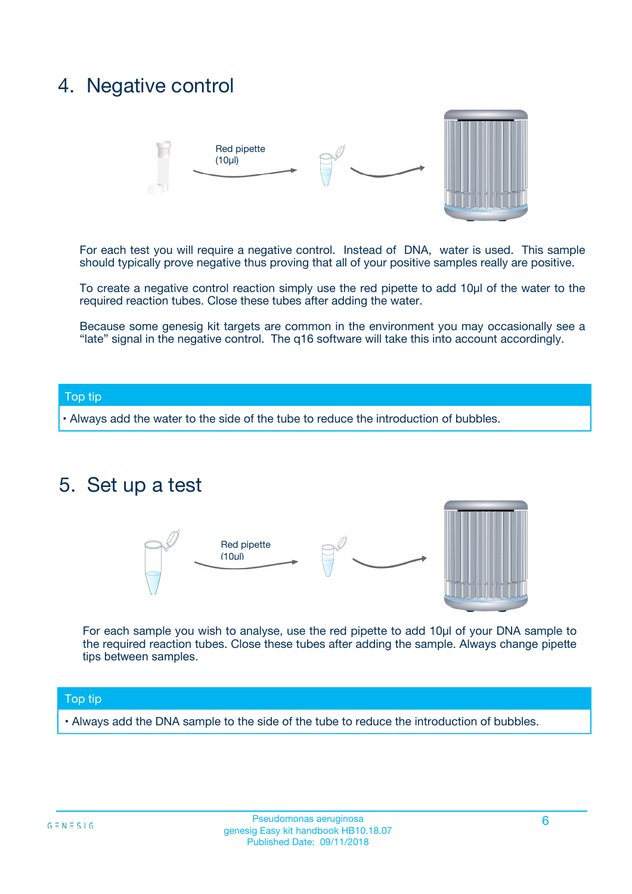### 4. Negative control



For each test you will require a negative control. Instead of DNA, water is used. This sample should typically prove negative thus proving that all of your positive samples really are positive.

To create a negative control reaction simply use the red pipette to add 10µl of the water to the required reaction tubes. Close these tubes after adding the water.

Because some genesig kit targets are common in the environment you may occasionally see a "late" signal in the negative control. The q16 software will take this into account accordingly.

#### Top tip

**•** Always add the water to the side of the tube to reduce the introduction of bubbles.

### 5. Set up a test



For each sample you wish to analyse, use the red pipette to add 10µl of your DNA sample to the required reaction tubes. Close these tubes after adding the sample. Always change pipette tips between samples.

#### Top tip

**•** Always add the DNA sample to the side of the tube to reduce the introduction of bubbles.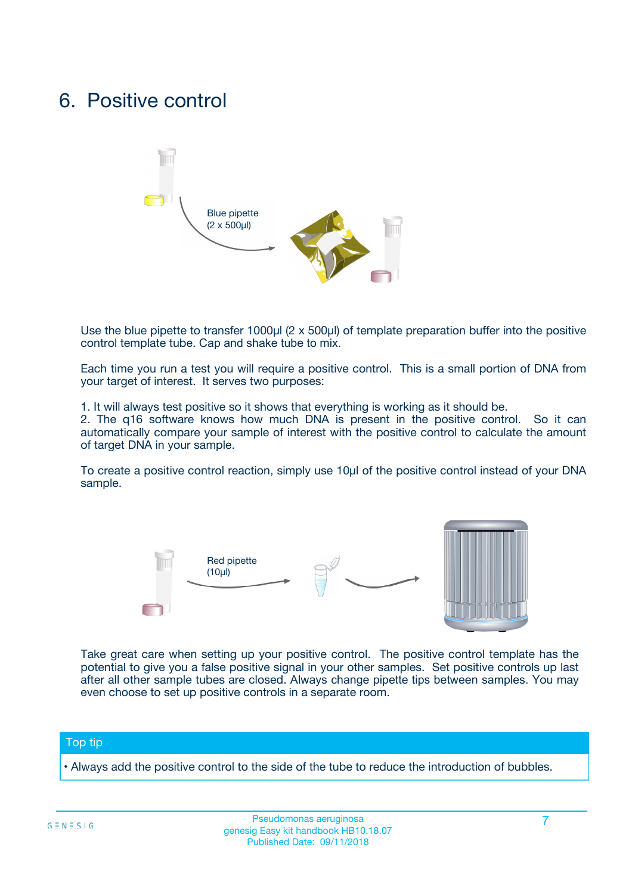### 6. Positive control



Use the blue pipette to transfer 1000µl (2 x 500µl) of template preparation buffer into the positive control template tube. Cap and shake tube to mix.

Each time you run a test you will require a positive control. This is a small portion of DNA from your target of interest. It serves two purposes:

1. It will always test positive so it shows that everything is working as it should be.

2. The q16 software knows how much DNA is present in the positive control. So it can automatically compare your sample of interest with the positive control to calculate the amount of target DNA in your sample.

To create a positive control reaction, simply use 10µl of the positive control instead of your DNA sample.



Take great care when setting up your positive control. The positive control template has the potential to give you a false positive signal in your other samples. Set positive controls up last after all other sample tubes are closed. Always change pipette tips between samples. You may even choose to set up positive controls in a separate room.

#### Top tip

**•** Always add the positive control to the side of the tube to reduce the introduction of bubbles.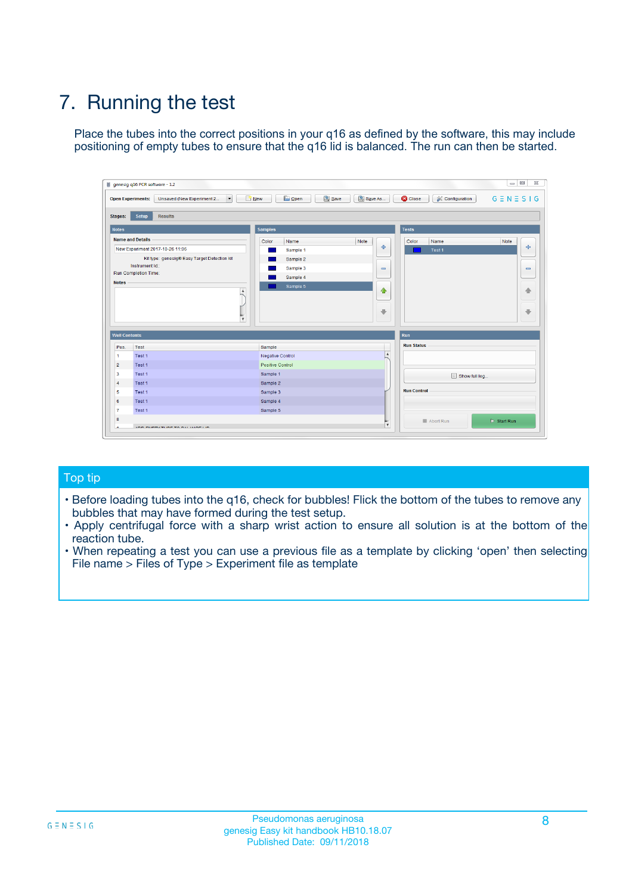# 7. Running the test

Place the tubes into the correct positions in your q16 as defined by the software, this may include positioning of empty tubes to ensure that the q16 lid is balanced. The run can then be started.

| genesig q16 PCR software - 1.2                                               |                                     | $\Box$                                                                                  |
|------------------------------------------------------------------------------|-------------------------------------|-----------------------------------------------------------------------------------------|
| Unsaved (New Experiment 2<br>$\vert \cdot \vert$<br><b>Open Experiments:</b> | <b>D</b> Open<br>Save<br>$\Box$ New | Save As<br><b>C</b> Close<br>$G \equiv N \equiv S \mid G$<br><b>&amp; Configuration</b> |
| Setup<br><b>Results</b><br><b>Stages:</b>                                    |                                     |                                                                                         |
| <b>Notes</b>                                                                 | Samples                             | <b>Tests</b>                                                                            |
| <b>Name and Details</b>                                                      | Color<br>Name                       | Note<br>Color<br>Note<br>Name                                                           |
| New Experiment 2017-10-26 11:06                                              | Sample 1                            | ع<br>条<br>Test 1                                                                        |
| Kit type: genesig® Easy Target Detection kit                                 | Sample 2                            |                                                                                         |
| Instrument Id.:                                                              | Sample 3                            | $\qquad \qquad \blacksquare$<br>$\qquad \qquad \blacksquare$                            |
| Run Completion Time:                                                         | Sample 4                            |                                                                                         |
| <b>Notes</b>                                                                 | Sample 5<br>A<br>v                  | $\triangle$<br>4<br>$\oplus$<br>₩                                                       |
| <b>Well Contents</b>                                                         |                                     | <b>Run</b>                                                                              |
| Pos.<br>Test                                                                 | Sample                              | <b>Run Status</b>                                                                       |
| Test 1<br>-1                                                                 | <b>Negative Control</b>             | $\blacktriangle$                                                                        |
| $\overline{2}$<br>Test 1                                                     | <b>Positive Control</b>             |                                                                                         |
| $\overline{\mathbf{3}}$<br>Test 1                                            | Sample 1                            | Show full log                                                                           |
| Test 1<br>$\overline{4}$                                                     | Sample 2                            |                                                                                         |
| 5<br>Test 1                                                                  | Sample 3                            | <b>Run Control</b>                                                                      |
| 6<br>Test 1                                                                  | Sample 4                            |                                                                                         |
| $\overline{7}$<br>Test 1                                                     | Sample 5                            |                                                                                         |
| 8                                                                            |                                     | $\triangleright$ Start Run<br>Abort Run                                                 |
| <b>JOD FURTY TUDE TO BUILDED IN</b>                                          |                                     | $\overline{\mathbf{v}}$                                                                 |

#### Top tip

- Before loading tubes into the q16, check for bubbles! Flick the bottom of the tubes to remove any bubbles that may have formed during the test setup.
- Apply centrifugal force with a sharp wrist action to ensure all solution is at the bottom of the reaction tube.
- When repeating a test you can use a previous file as a template by clicking 'open' then selecting File name > Files of Type > Experiment file as template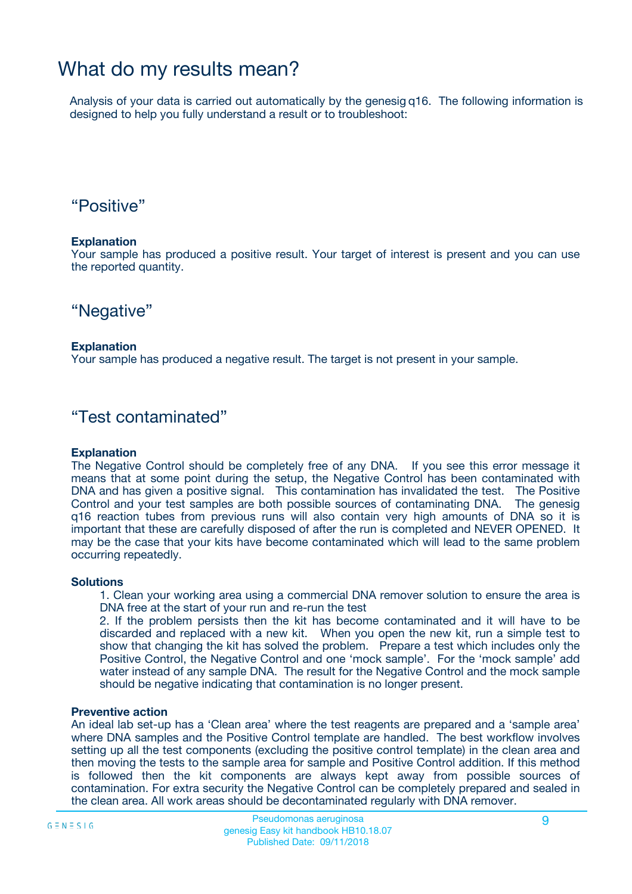## What do my results mean?

Analysis of your data is carried out automatically by the genesig q16. The following information is designed to help you fully understand a result or to troubleshoot:

### "Positive"

#### **Explanation**

Your sample has produced a positive result. Your target of interest is present and you can use the reported quantity.

"Negative"

#### **Explanation**

Your sample has produced a negative result. The target is not present in your sample.

### "Test contaminated"

#### **Explanation**

The Negative Control should be completely free of any DNA. If you see this error message it means that at some point during the setup, the Negative Control has been contaminated with DNA and has given a positive signal. This contamination has invalidated the test. The Positive Control and your test samples are both possible sources of contaminating DNA. The genesig q16 reaction tubes from previous runs will also contain very high amounts of DNA so it is important that these are carefully disposed of after the run is completed and NEVER OPENED. It may be the case that your kits have become contaminated which will lead to the same problem occurring repeatedly.

#### **Solutions**

1. Clean your working area using a commercial DNA remover solution to ensure the area is DNA free at the start of your run and re-run the test

2. If the problem persists then the kit has become contaminated and it will have to be discarded and replaced with a new kit. When you open the new kit, run a simple test to show that changing the kit has solved the problem. Prepare a test which includes only the Positive Control, the Negative Control and one 'mock sample'. For the 'mock sample' add water instead of any sample DNA. The result for the Negative Control and the mock sample should be negative indicating that contamination is no longer present.

#### **Preventive action**

An ideal lab set-up has a 'Clean area' where the test reagents are prepared and a 'sample area' where DNA samples and the Positive Control template are handled. The best workflow involves setting up all the test components (excluding the positive control template) in the clean area and then moving the tests to the sample area for sample and Positive Control addition. If this method is followed then the kit components are always kept away from possible sources of contamination. For extra security the Negative Control can be completely prepared and sealed in the clean area. All work areas should be decontaminated regularly with DNA remover.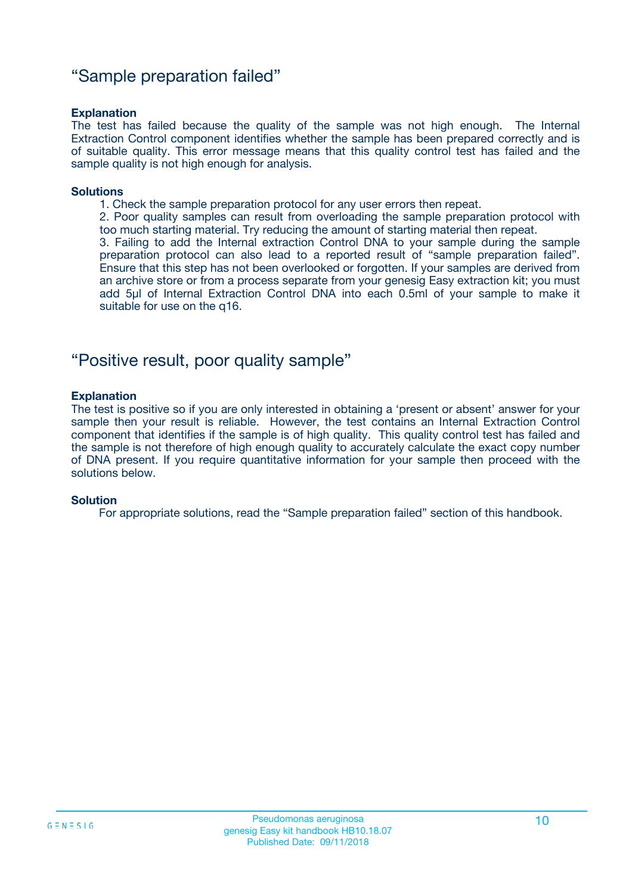### "Sample preparation failed"

#### **Explanation**

The test has failed because the quality of the sample was not high enough. The Internal Extraction Control component identifies whether the sample has been prepared correctly and is of suitable quality. This error message means that this quality control test has failed and the sample quality is not high enough for analysis.

#### **Solutions**

1. Check the sample preparation protocol for any user errors then repeat.

2. Poor quality samples can result from overloading the sample preparation protocol with too much starting material. Try reducing the amount of starting material then repeat.

3. Failing to add the Internal extraction Control DNA to your sample during the sample preparation protocol can also lead to a reported result of "sample preparation failed". Ensure that this step has not been overlooked or forgotten. If your samples are derived from an archive store or from a process separate from your genesig Easy extraction kit; you must add 5µl of Internal Extraction Control DNA into each 0.5ml of your sample to make it suitable for use on the q16.

### "Positive result, poor quality sample"

#### **Explanation**

The test is positive so if you are only interested in obtaining a 'present or absent' answer for your sample then your result is reliable. However, the test contains an Internal Extraction Control component that identifies if the sample is of high quality. This quality control test has failed and the sample is not therefore of high enough quality to accurately calculate the exact copy number of DNA present. If you require quantitative information for your sample then proceed with the solutions below.

#### **Solution**

For appropriate solutions, read the "Sample preparation failed" section of this handbook.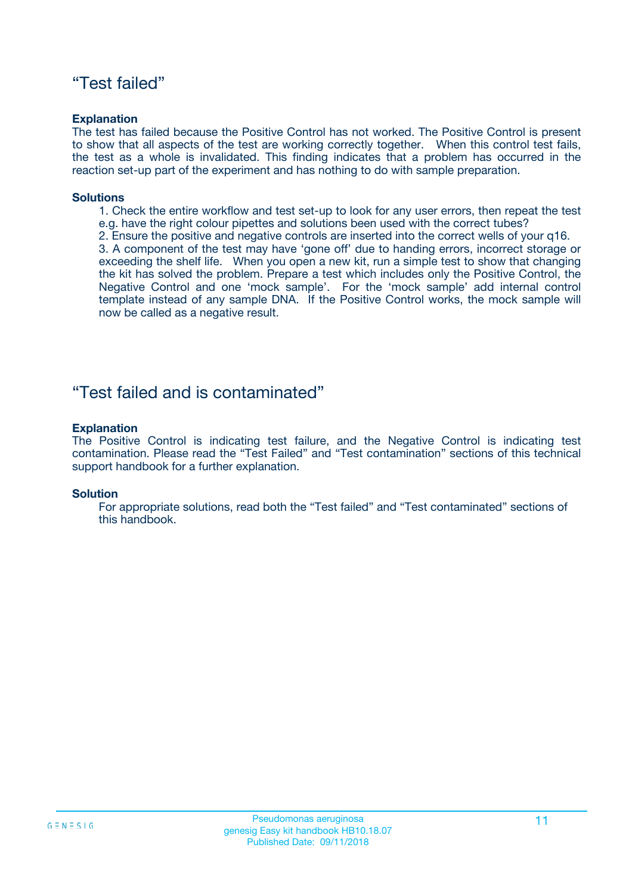### "Test failed"

#### **Explanation**

The test has failed because the Positive Control has not worked. The Positive Control is present to show that all aspects of the test are working correctly together. When this control test fails, the test as a whole is invalidated. This finding indicates that a problem has occurred in the reaction set-up part of the experiment and has nothing to do with sample preparation.

#### **Solutions**

- 1. Check the entire workflow and test set-up to look for any user errors, then repeat the test e.g. have the right colour pipettes and solutions been used with the correct tubes?
- 2. Ensure the positive and negative controls are inserted into the correct wells of your q16.

3. A component of the test may have 'gone off' due to handing errors, incorrect storage or exceeding the shelf life. When you open a new kit, run a simple test to show that changing the kit has solved the problem. Prepare a test which includes only the Positive Control, the Negative Control and one 'mock sample'. For the 'mock sample' add internal control template instead of any sample DNA. If the Positive Control works, the mock sample will now be called as a negative result.

### "Test failed and is contaminated"

#### **Explanation**

The Positive Control is indicating test failure, and the Negative Control is indicating test contamination. Please read the "Test Failed" and "Test contamination" sections of this technical support handbook for a further explanation.

#### **Solution**

For appropriate solutions, read both the "Test failed" and "Test contaminated" sections of this handbook.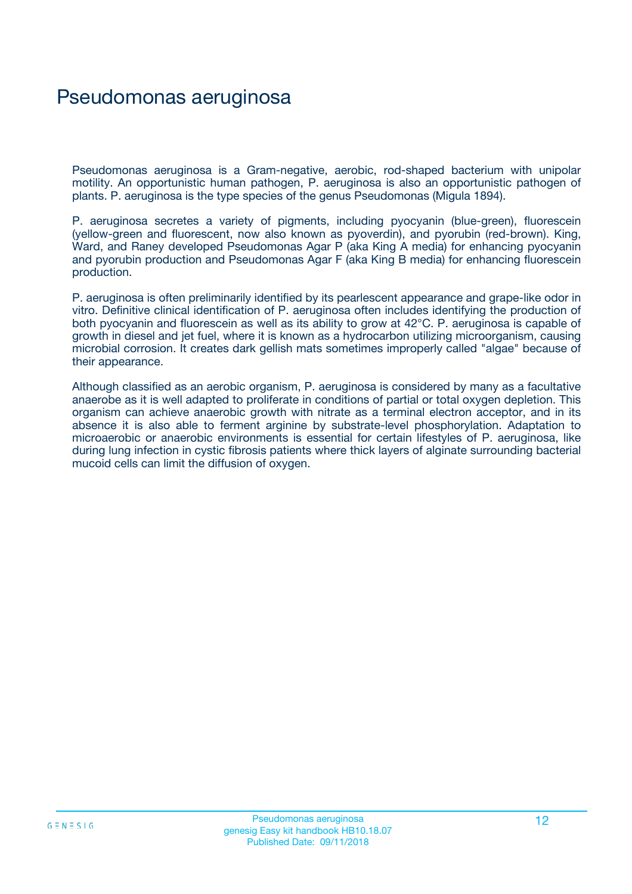## Pseudomonas aeruginosa

Pseudomonas aeruginosa is a Gram-negative, aerobic, rod-shaped bacterium with unipolar motility. An opportunistic human pathogen, P. aeruginosa is also an opportunistic pathogen of plants. P. aeruginosa is the type species of the genus Pseudomonas (Migula 1894).

P. aeruginosa secretes a variety of pigments, including pyocyanin (blue-green), fluorescein (yellow-green and fluorescent, now also known as pyoverdin), and pyorubin (red-brown). King, Ward, and Raney developed Pseudomonas Agar P (aka King A media) for enhancing pyocyanin and pyorubin production and Pseudomonas Agar F (aka King B media) for enhancing fluorescein production.

P. aeruginosa is often preliminarily identified by its pearlescent appearance and grape-like odor in vitro. Definitive clinical identification of P. aeruginosa often includes identifying the production of both pyocyanin and fluorescein as well as its ability to grow at 42°C. P. aeruginosa is capable of growth in diesel and jet fuel, where it is known as a hydrocarbon utilizing microorganism, causing microbial corrosion. It creates dark gellish mats sometimes improperly called "algae" because of their appearance.

Although classified as an aerobic organism, P. aeruginosa is considered by many as a facultative anaerobe as it is well adapted to proliferate in conditions of partial or total oxygen depletion. This organism can achieve anaerobic growth with nitrate as a terminal electron acceptor, and in its absence it is also able to ferment arginine by substrate-level phosphorylation. Adaptation to microaerobic or anaerobic environments is essential for certain lifestyles of P. aeruginosa, like during lung infection in cystic fibrosis patients where thick layers of alginate surrounding bacterial mucoid cells can limit the diffusion of oxygen.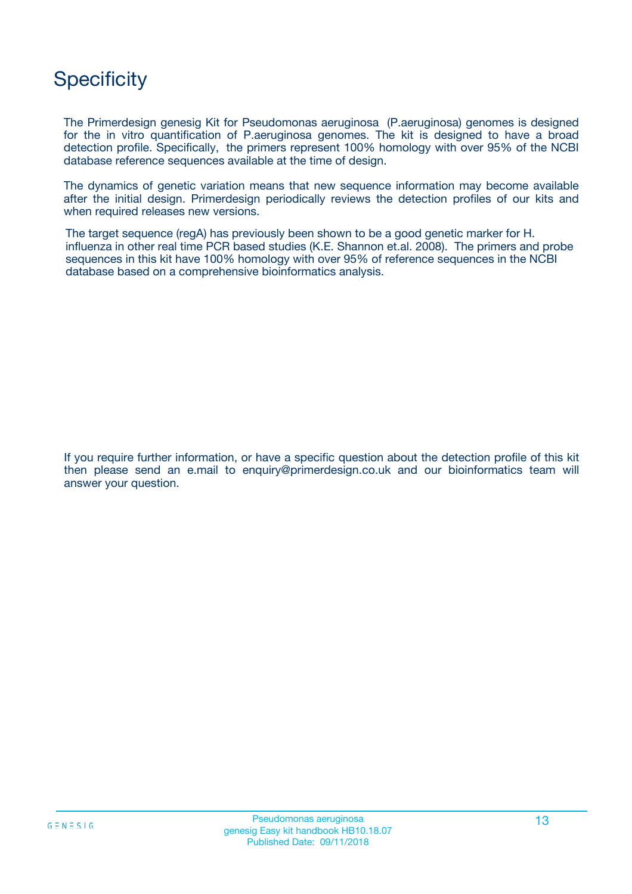## **Specificity**

The Primerdesign genesig Kit for Pseudomonas aeruginosa (P.aeruginosa) genomes is designed for the in vitro quantification of P.aeruginosa genomes. The kit is designed to have a broad detection profile. Specifically, the primers represent 100% homology with over 95% of the NCBI database reference sequences available at the time of design.

The dynamics of genetic variation means that new sequence information may become available after the initial design. Primerdesign periodically reviews the detection profiles of our kits and when required releases new versions.

The target sequence (regA) has previously been shown to be a good genetic marker for H. influenza in other real time PCR based studies (K.E. Shannon et.al. 2008). The primers and probe sequences in this kit have 100% homology with over 95% of reference sequences in the NCBI database based on a comprehensive bioinformatics analysis.

If you require further information, or have a specific question about the detection profile of this kit then please send an e.mail to enquiry@primerdesign.co.uk and our bioinformatics team will answer your question.